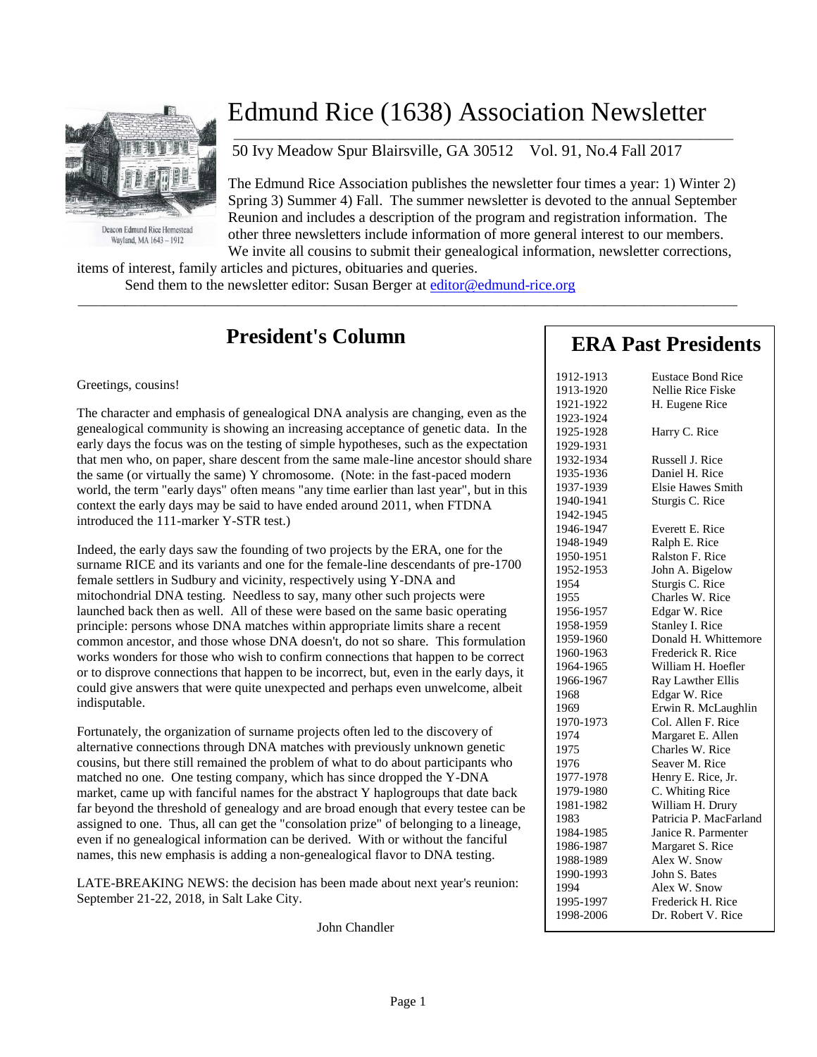

Deacon Edmund Rice Homestead Wayland, MA 1643 - 1912

## Edmund Rice (1638) Association Newsletter

50 Ivy Meadow Spur Blairsville, GA 30512 Vol. 91, No.4 Fall 2017

The Edmund Rice Association publishes the newsletter four times a year: 1) Winter 2) Spring 3) Summer 4) Fall. The summer newsletter is devoted to the annual September Reunion and includes a description of the program and registration information. The other three newsletters include information of more general interest to our members. We invite all cousins to submit their genealogical information, newsletter corrections,

 $\overline{\phantom{a}}$  , and the contribution of the contribution of the contribution of the contribution of the contribution of the contribution of the contribution of the contribution of the contribution of the contribution of the

items of interest, family articles and pictures, obituaries and queries.

Send them to the newsletter editor: Susan Berger at [editor@edmund-rice.org](mailto:editor@edmund-rice.org)

 $\_$  , and the set of the set of the set of the set of the set of the set of the set of the set of the set of the set of the set of the set of the set of the set of the set of the set of the set of the set of the set of th

## **President's Column**

#### Greetings, cousins!

The character and emphasis of genealogical DNA analysis are changing, even as the genealogical community is showing an increasing acceptance of genetic data. In the early days the focus was on the testing of simple hypotheses, such as the expectation that men who, on paper, share descent from the same male-line ancestor should share the same (or virtually the same) Y chromosome. (Note: in the fast-paced modern world, the term "early days" often means "any time earlier than last year", but in this context the early days may be said to have ended around 2011, when FTDNA introduced the 111-marker Y-STR test.)

Indeed, the early days saw the founding of two projects by the ERA, one for the surname RICE and its variants and one for the female-line descendants of pre-1700 female settlers in Sudbury and vicinity, respectively using Y-DNA and mitochondrial DNA testing. Needless to say, many other such projects were launched back then as well. All of these were based on the same basic operating principle: persons whose DNA matches within appropriate limits share a recent common ancestor, and those whose DNA doesn't, do not so share. This formulation works wonders for those who wish to confirm connections that happen to be correct or to disprove connections that happen to be incorrect, but, even in the early days, it could give answers that were quite unexpected and perhaps even unwelcome, albeit indisputable.

Fortunately, the organization of surname projects often led to the discovery of alternative connections through DNA matches with previously unknown genetic cousins, but there still remained the problem of what to do about participants who matched no one. One testing company, which has since dropped the Y-DNA market, came up with fanciful names for the abstract Y haplogroups that date back far beyond the threshold of genealogy and are broad enough that every testee can be assigned to one. Thus, all can get the "consolation prize" of belonging to a lineage, even if no genealogical information can be derived. With or without the fanciful names, this new emphasis is adding a non-genealogical flavor to DNA testing.

LATE-BREAKING NEWS: the decision has been made about next year's reunion: September 21-22, 2018, in Salt Lake City.

John Chandler

## **ERA Past Presidents**

| 1912-1913 | <b>Eustace Bond Rice</b> |
|-----------|--------------------------|
| 1913-1920 | Nellie Rice Fiske        |
| 1921-1922 | H. Eugene Rice           |
| 1923-1924 |                          |
| 1925-1928 | Harry C. Rice            |
| 1929-1931 |                          |
| 1932-1934 | Russell J. Rice          |
| 1935-1936 | Daniel H. Rice           |
| 1937-1939 | <b>Elsie Hawes Smith</b> |
| 1940-1941 | Sturgis C. Rice          |
| 1942-1945 |                          |
| 1946-1947 | Everett E. Rice          |
| 1948-1949 | Ralph E. Rice            |
| 1950-1951 | Ralston F. Rice          |
| 1952-1953 | John A. Bigelow          |
| 1954      | Sturgis C. Rice          |
| 1955      | Charles W. Rice          |
| 1956-1957 | Edgar W. Rice            |
| 1958-1959 | Stanley I. Rice          |
| 1959-1960 | Donald H. Whittemore     |
| 1960-1963 | Frederick R. Rice        |
| 1964-1965 | William H. Hoefler       |
| 1966-1967 | Ray Lawther Ellis        |
| 1968      | Edgar W. Rice            |
| 1969      | Erwin R. McLaughlin      |
| 1970-1973 | Col. Allen F. Rice       |
| 1974      | Margaret E. Allen        |
| 1975      | Charles W. Rice          |
| 1976      | Seaver M. Rice           |
| 1977-1978 | Henry E. Rice, Jr.       |
| 1979-1980 | C. Whiting Rice          |
| 1981-1982 | William H. Drury         |
| 1983      | Patricia P. MacFarland   |
| 1984-1985 | Janice R. Parmenter      |
| 1986-1987 | Margaret S. Rice         |
| 1988-1989 | Alex W. Snow             |
| 1990-1993 | John S. Bates            |
| 1994      | Alex W. Snow             |
| 1995-1997 | Frederick H. Rice        |
| 1998-2006 | Dr. Robert V. Rice       |
|           |                          |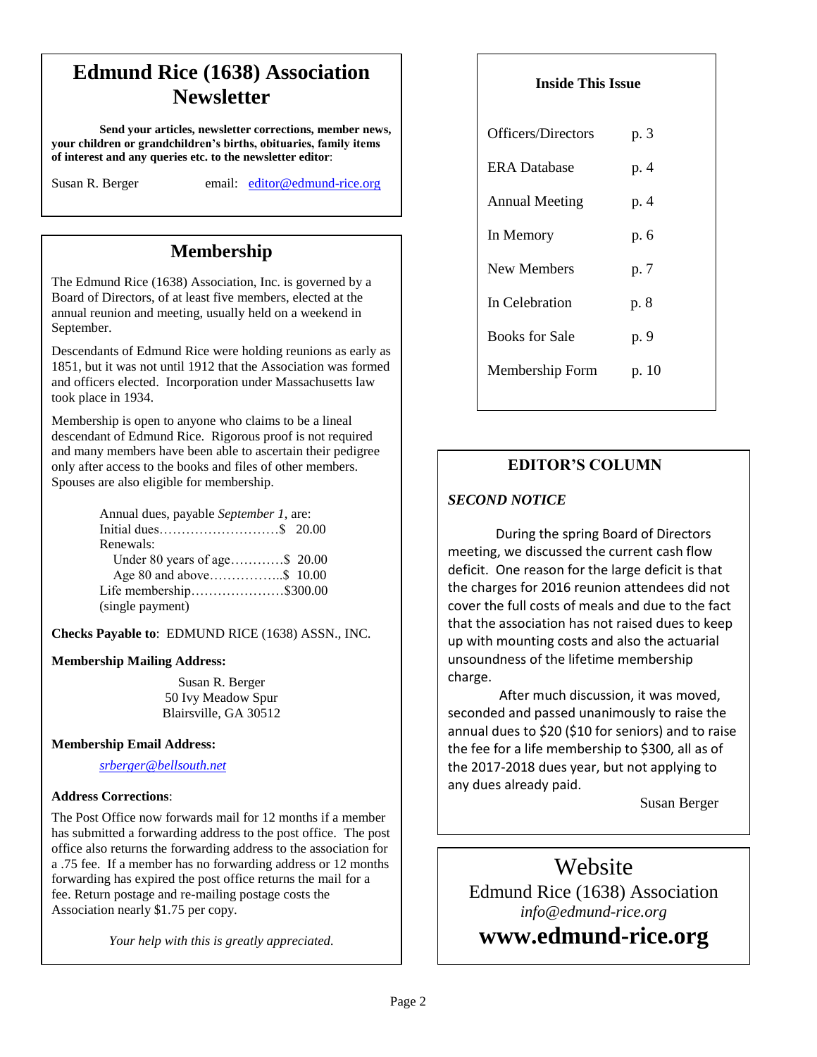## **Edmund Rice (1638) Association Newsletter**

**Send your articles, newsletter corrections, member news, your children or grandchildren's births, obituaries, family items of interest and any queries etc. to the newsletter editor**:

Susan R. Berger email: [editor@edmund-rice.org](mailto:editor@edmund-rice.org)

## **Membership**

The Edmund Rice (1638) Association, Inc. is governed by a Board of Directors, of at least five members, elected at the annual reunion and meeting, usually held on a weekend in September.

Descendants of Edmund Rice were holding reunions as early as 1851, but it was not until 1912 that the Association was formed and officers elected. Incorporation under Massachusetts law took place in 1934.

Membership is open to anyone who claims to be a lineal descendant of Edmund Rice. Rigorous proof is not required and many members have been able to ascertain their pedigree only after access to the books and files of other members. Spouses are also eligible for membership.

| Annual dues, payable September 1, are: |  |
|----------------------------------------|--|
|                                        |  |
| Renewals:                              |  |
| Under 80 years of age\$ 20.00          |  |
|                                        |  |
| Life membership\$300.00                |  |
| (single payment)                       |  |

**Checks Payable to**: EDMUND RICE (1638) ASSN., INC.

#### **Membership Mailing Address:**

Susan R. Berger 50 Ivy Meadow Spur Blairsville, GA 30512

#### **Membership Email Address:**

*[srberger@bellsouth.net](mailto:srberger@bellsouth.net)*

#### **Address Corrections**:

The Post Office now forwards mail for 12 months if a member has submitted a forwarding address to the post office. The post office also returns the forwarding address to the association for a .75 fee. If a member has no forwarding address or 12 months forwarding has expired the post office returns the mail for a fee. Return postage and re-mailing postage costs the Association nearly \$1.75 per copy.

*Your help with this is greatly appreciated.*

#### **Inside This Issue**

| Officers/Directors    | p. 3  |
|-----------------------|-------|
| <b>ERA</b> Database   | p. 4  |
| <b>Annual Meeting</b> | p. 4  |
| In Memory             | p. 6  |
| New Members           | p. 7  |
| In Celebration        | p. 8  |
| <b>Books for Sale</b> | p. 9  |
| Membership Form       | p. 10 |
|                       |       |

### **EDITOR'S COLUMN**

### *SECOND NOTICE*

**12**

During the spring Board of Directors meeting, we discussed the current cash flow deficit. One reason for the large deficit is that the charges for 2016 reunion attendees did not cover the full costs of meals and due to the fact that the association has not raised dues to keep up with mounting costs and also the actuarial unsoundness of the lifetime membership charge.

After much discussion, it was moved, seconded and passed unanimously to raise the annual dues to \$20 (\$10 for seniors) and to raise the fee for a life membership to \$300, all as of the 2017-2018 dues year, but not applying to any dues already paid.

Susan Berger

Website

Edmund Rice (1638) Association *info@edmund-rice.org*

# **-2013 Officers www.edmund-rice.org**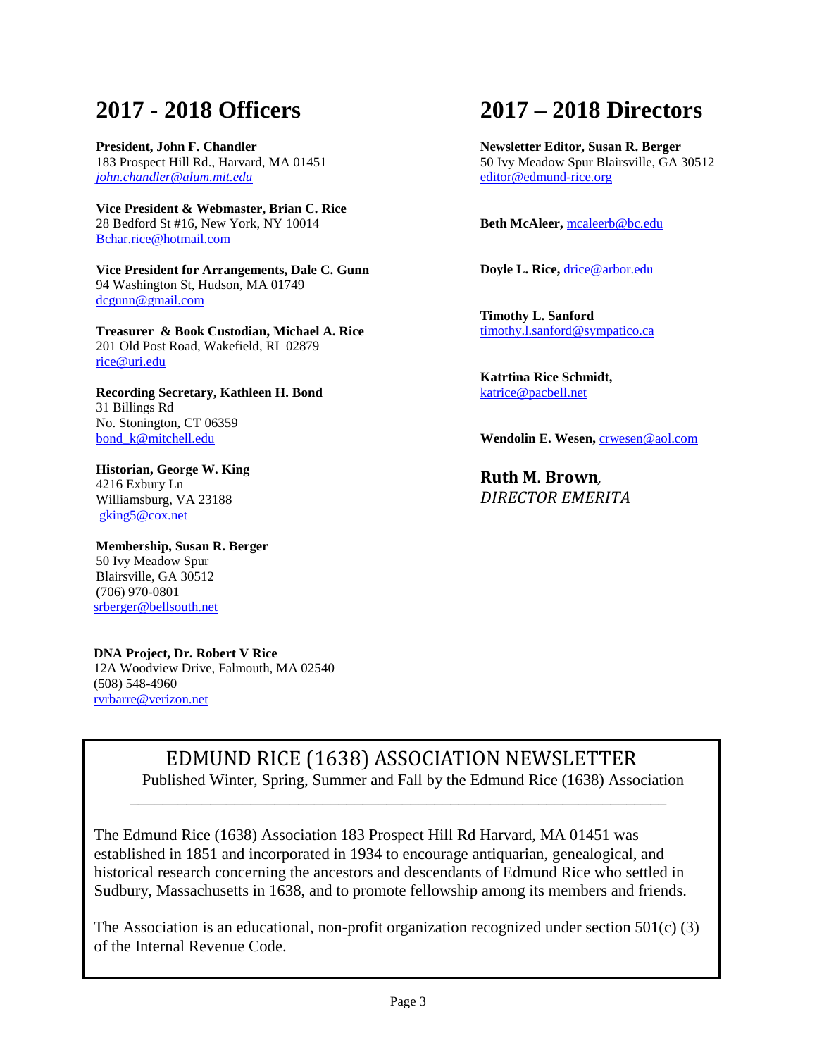## **2017 - 2018 Officers**

**President, John F. Chandler** 183 Prospect Hill Rd., Harvard, MA 01451 *[john.chandler@alum.mit.edu](mailto:john.chandler@alum.mit.edu)* 

**Vice President & Webmaster, Brian C. Rice** 28 Bedford St #16, New York, NY 10014 [Bchar.rice@hotmail.com](mailto:Bchar.rice@hotmail.com)

**Vice President for Arrangements, Dale C. Gunn** 94 Washington St, Hudson, MA 01749 [dcgunn@gmail.com](mailto:dcgunn@gmail.com)

**Treasurer & Book Custodian, Michael A. Rice** 201 Old Post Road, Wakefield, RI 02879 [rice@uri.edu](mailto:rice@uri.edu)

**Recording Secretary, Kathleen H. Bond** 31 Billings Rd No. Stonington, CT 06359 bond k@mitchell.edu

**Historian, George W. King** 4216 Exbury Ln Williamsburg, VA 23188 [gking5@cox.net](mailto:gking5@cox.net)

**Membership, Susan R. Berger** 50 Ivy Meadow Spur Blairsville, GA 30512 (706) 970-0801 [srberger@bellsouth.net](mailto:srberger@bellsouth.net)

 **DNA Project, Dr. Robert V Rice** 12A Woodview Drive, Falmouth, MA 02540 (508) 548-4960 [rvrbarre@verizon.net](mailto:rvrbarre@verizon.net)

## **2017 – 2018 Directors**

**Newsletter Editor, Susan R. Berger** 50 Ivy Meadow Spur Blairsville, GA 30512 [editor@edmund-rice.org](mailto:editor@edmund-rice.org)

**Beth McAleer,** [mcaleerb@bc.edu](mailto:mcaleerb@bc.edu)

**Doyle L. Rice,** [drice@arbor.edu](mailto:drice@arbor.edu)

**Timothy L. Sanford**  [timothy.l.sanford@sympatico.ca](mailto:timothy.l.sanford@sympatico.ca)

**Katrtina Rice Schmidt,**  [katrice@pacbell.net](mailto:katrice@pacbell.net)

**Wendolin E. Wesen,** [crwesen@aol.com](mailto:crwesen@aol.com)

**Ruth M. Brown***, DIRECTOR EMERITA*

EDMUND RICE (1638) ASSOCIATION NEWSLETTER

Published Winter, Spring, Summer and Fall by the Edmund Rice (1638) Association

The Edmund Rice (1638) Association 183 Prospect Hill Rd Harvard, MA 01451 was established in 1851 and incorporated in 1934 to encourage antiquarian, genealogical, and historical research concerning the ancestors and descendants of Edmund Rice who settled in Sudbury, Massachusetts in 1638, and to promote fellowship among its members and friends.

\_\_\_\_\_\_\_\_\_\_\_\_\_\_\_\_\_\_\_\_\_\_\_\_\_\_\_\_\_\_\_\_\_\_\_\_\_\_\_\_\_\_\_\_\_\_\_\_\_\_\_\_\_\_\_\_\_\_\_\_\_\_\_\_\_\_\_

The Association is an educational, non-profit organization recognized under section  $501(c)$  (3) of the Internal Revenue Code.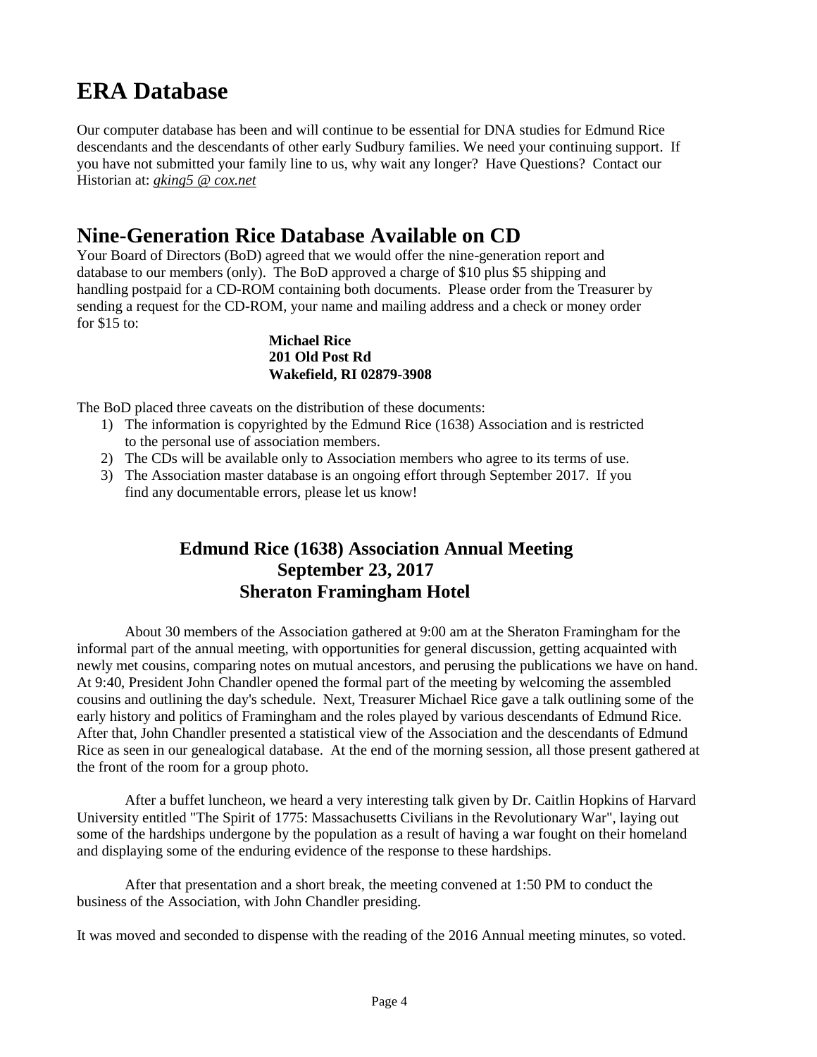## **ERA Database**

Our computer database has been and will continue to be essential for DNA studies for Edmund Rice descendants and the descendants of other early Sudbury families. We need your continuing support. If you have not submitted your family line to us, why wait any longer? Have Questions? Contact our Historian at: *[gking5 @ cox.net](mailto:gking5@cox.net)*

## **Nine-Generation Rice Database Available on CD**

Your Board of Directors (BoD) agreed that we would offer the nine-generation report and database to our members (only). The BoD approved a charge of \$10 plus \$5 shipping and handling postpaid for a CD-ROM containing both documents. Please order from the Treasurer by sending a request for the CD-ROM, your name and mailing address and a check or money order for \$15 to:

#### **Michael Rice 201 Old Post Rd Wakefield, RI 02879-3908**

The BoD placed three caveats on the distribution of these documents:

- 1) The information is copyrighted by the Edmund Rice (1638) Association and is restricted to the personal use of association members.
- 2) The CDs will be available only to Association members who agree to its terms of use.
- 3) The Association master database is an ongoing effort through September 2017. If you find any documentable errors, please let us know!

## **Edmund Rice (1638) Association Annual Meeting September 23, 2017 Sheraton Framingham Hotel**

About 30 members of the Association gathered at 9:00 am at the Sheraton Framingham for the informal part of the annual meeting, with opportunities for general discussion, getting acquainted with newly met cousins, comparing notes on mutual ancestors, and perusing the publications we have on hand. At 9:40, President John Chandler opened the formal part of the meeting by welcoming the assembled cousins and outlining the day's schedule. Next, Treasurer Michael Rice gave a talk outlining some of the early history and politics of Framingham and the roles played by various descendants of Edmund Rice. After that, John Chandler presented a statistical view of the Association and the descendants of Edmund Rice as seen in our genealogical database. At the end of the morning session, all those present gathered at the front of the room for a group photo.

After a buffet luncheon, we heard a very interesting talk given by Dr. Caitlin Hopkins of Harvard University entitled "The Spirit of 1775: Massachusetts Civilians in the Revolutionary War", laying out some of the hardships undergone by the population as a result of having a war fought on their homeland and displaying some of the enduring evidence of the response to these hardships.

After that presentation and a short break, the meeting convened at 1:50 PM to conduct the business of the Association, with John Chandler presiding.

It was moved and seconded to dispense with the reading of the 2016 Annual meeting minutes, so voted.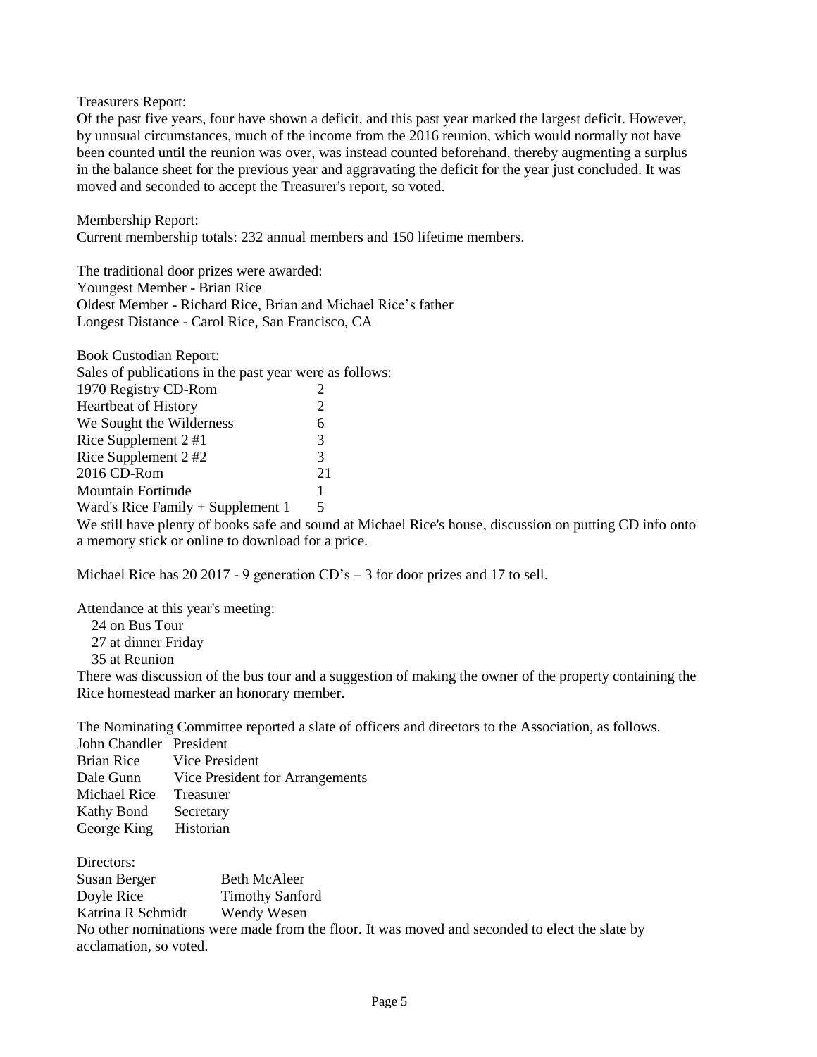Treasurers Report:

Of the past five years, four have shown a deficit, and this past year marked the largest deficit. However, by unusual circumstances, much of the income from the 2016 reunion, which would normally not have been counted until the reunion was over, was instead counted beforehand, thereby augmenting a surplus in the balance sheet for the previous year and aggravating the deficit for the year just concluded. It was moved and seconded to accept the Treasurer's report, so voted.

Membership Report: Current membership totals: 232 annual members and 150 lifetime members.

The traditional door prizes were awarded: Youngest Member - Brian Rice Oldest Member - Richard Rice, Brian and Michael Rice's father Longest Distance - Carol Rice, San Francisco, CA

| <b>Book Custodian Report:</b>                           |    |
|---------------------------------------------------------|----|
| Sales of publications in the past year were as follows: |    |
| 1970 Registry CD-Rom                                    |    |
| <b>Heartbeat of History</b>                             | 2  |
| We Sought the Wilderness                                | 6  |
| Rice Supplement 2 #1                                    | 3  |
| Rice Supplement 2 #2                                    | 3  |
| 2016 CD-Rom                                             | 21 |
| <b>Mountain Fortitude</b>                               | 1  |
| Ward's Rice Family $+$ Supplement 1                     | 5  |

We still have plenty of books safe and sound at Michael Rice's house, discussion on putting CD info onto a memory stick or online to download for a price.

Michael Rice has 20 2017 - 9 generation CD's – 3 for door prizes and 17 to sell.

Attendance at this year's meeting:

- 24 on Bus Tour
- 27 at dinner Friday

35 at Reunion

There was discussion of the bus tour and a suggestion of making the owner of the property containing the Rice homestead marker an honorary member.

The Nominating Committee reported a slate of officers and directors to the Association, as follows.

| John Chandler President |                                 |
|-------------------------|---------------------------------|
| <b>Brian Rice</b>       | Vice President                  |
| Dale Gunn               | Vice President for Arrangements |
| Michael Rice            | Treasurer                       |
| Kathy Bond              | Secretary                       |
| George King             | Historian                       |

Directors:

Susan Berger Beth McAleer Doyle Rice Timothy Sanford Katrina R Schmidt Wendy Wesen No other nominations were made from the floor. It was moved and seconded to elect the slate by acclamation, so voted.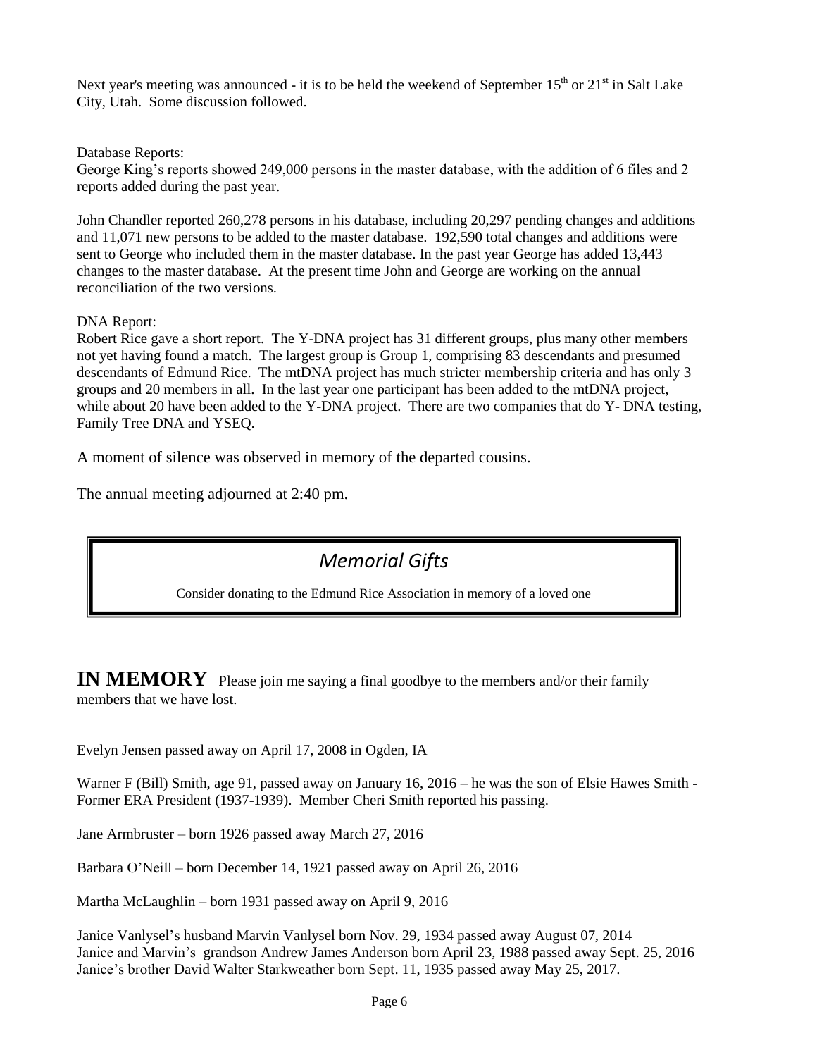Next year's meeting was announced - it is to be held the weekend of September  $15<sup>th</sup>$  or  $21<sup>st</sup>$  in Salt Lake City, Utah. Some discussion followed.

Database Reports:

George King's reports showed 249,000 persons in the master database, with the addition of 6 files and 2 reports added during the past year.

John Chandler reported 260,278 persons in his database, including 20,297 pending changes and additions and 11,071 new persons to be added to the master database. 192,590 total changes and additions were sent to George who included them in the master database. In the past year George has added 13,443 changes to the master database. At the present time John and George are working on the annual reconciliation of the two versions.

#### DNA Report:

Robert Rice gave a short report. The Y-DNA project has 31 different groups, plus many other members not yet having found a match. The largest group is Group 1, comprising 83 descendants and presumed descendants of Edmund Rice. The mtDNA project has much stricter membership criteria and has only 3 groups and 20 members in all. In the last year one participant has been added to the mtDNA project, while about 20 have been added to the Y-DNA project. There are two companies that do Y-DNA testing, Family Tree DNA and YSEQ.

A moment of silence was observed in memory of the departed cousins.

The annual meeting adjourned at 2:40 pm.

## *Memorial Gifts*

Consider donating to the Edmund Rice Association in memory of a loved one

**IN MEMORY** Please join me saying a final goodbye to the members and/or their family members that we have lost.

Evelyn Jensen passed away on April 17, 2008 in Ogden, IA

Warner F (Bill) Smith, age 91, passed away on January 16, 2016 – he was the son of Elsie Hawes Smith - Former ERA President (1937-1939). Member Cheri Smith reported his passing.

Jane Armbruster – born 1926 passed away March 27, 2016

Barbara O'Neill – born December 14, 1921 passed away on April 26, 2016

Martha McLaughlin – born 1931 passed away on April 9, 2016

Janice Vanlysel's husband Marvin Vanlysel born Nov. 29, 1934 passed away August 07, 2014 Janice and Marvin's grandson Andrew James Anderson born April 23, 1988 passed away Sept. 25, 2016 Janice's brother David Walter Starkweather born Sept. 11, 1935 passed away May 25, 2017.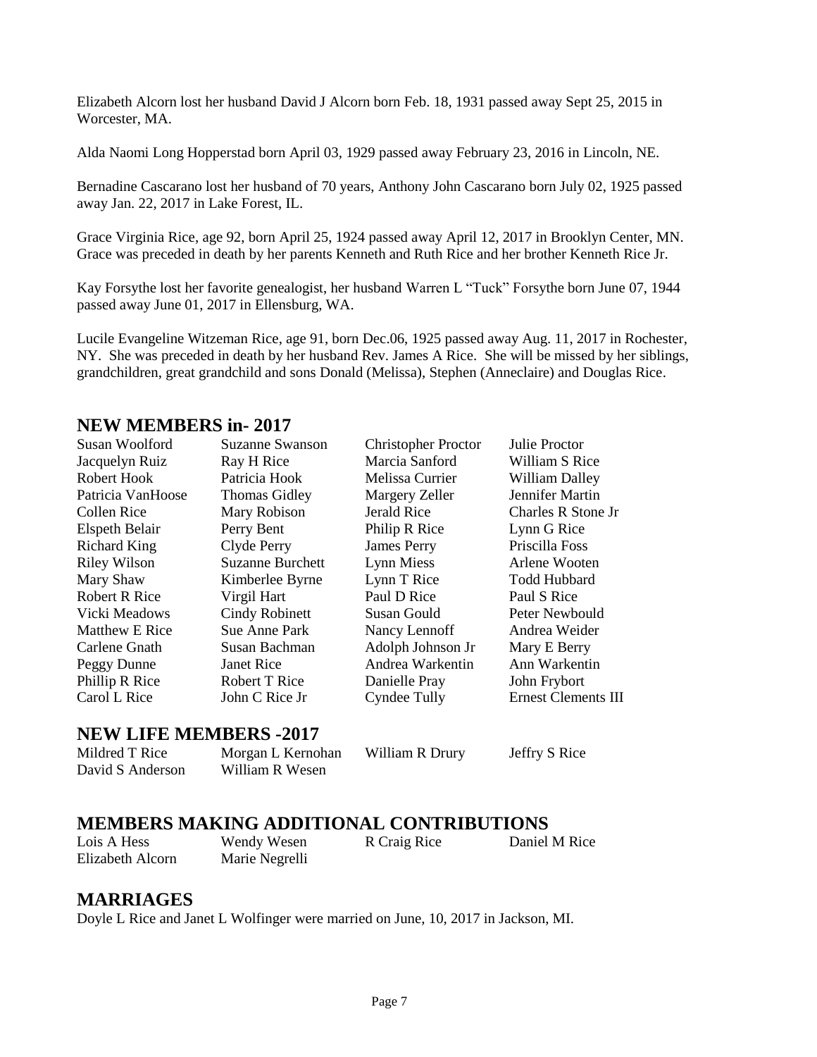Elizabeth Alcorn lost her husband David J Alcorn born Feb. 18, 1931 passed away Sept 25, 2015 in Worcester, MA.

Alda Naomi Long Hopperstad born April 03, 1929 passed away February 23, 2016 in Lincoln, NE.

Bernadine Cascarano lost her husband of 70 years, Anthony John Cascarano born July 02, 1925 passed away Jan. 22, 2017 in Lake Forest, IL.

Grace Virginia Rice, age 92, born April 25, 1924 passed away April 12, 2017 in Brooklyn Center, MN. Grace was preceded in death by her parents Kenneth and Ruth Rice and her brother Kenneth Rice Jr.

Kay Forsythe lost her favorite genealogist, her husband Warren L "Tuck" Forsythe born June 07, 1944 passed away June 01, 2017 in Ellensburg, WA.

Lucile Evangeline Witzeman Rice, age 91, born Dec.06, 1925 passed away Aug. 11, 2017 in Rochester, NY. She was preceded in death by her husband Rev. James A Rice. She will be missed by her siblings, grandchildren, great grandchild and sons Donald (Melissa), Stephen (Anneclaire) and Douglas Rice.

#### **NEW MEMBERS in- 2017**

| Susan Woolford       | Suzanne Swanson         | <b>Christopher Proctor</b> | Julie Proctor              |
|----------------------|-------------------------|----------------------------|----------------------------|
| Jacquelyn Ruiz       | Ray H Rice              | Marcia Sanford             | William S Rice             |
| Robert Hook          | Patricia Hook           | Melissa Currier            | <b>William Dalley</b>      |
| Patricia VanHoose    | <b>Thomas Gidley</b>    | Margery Zeller             | Jennifer Martin            |
| Collen Rice          | Mary Robison            | Jerald Rice                | Charles R Stone Jr         |
| Elspeth Belair       | Perry Bent              | Philip R Rice              | Lynn G Rice                |
| <b>Richard King</b>  | Clyde Perry             | <b>James Perry</b>         | Priscilla Foss             |
| <b>Riley Wilson</b>  | <b>Suzanne Burchett</b> | Lynn Miess                 | Arlene Wooten              |
| Mary Shaw            | Kimberlee Byrne         | Lynn T Rice                | <b>Todd Hubbard</b>        |
| <b>Robert R Rice</b> | Virgil Hart             | Paul D Rice                | Paul S Rice                |
| Vicki Meadows        | <b>Cindy Robinett</b>   | Susan Gould                | Peter Newbould             |
| Matthew E Rice       | Sue Anne Park           | Nancy Lennoff              | Andrea Weider              |
| Carlene Gnath        | Susan Bachman           | Adolph Johnson Jr          | Mary E Berry               |
| Peggy Dunne          | Janet Rice              | Andrea Warkentin           | Ann Warkentin              |
| Phillip R Rice       | Robert T Rice           | Danielle Pray              | John Frybort               |
| Carol L Rice         | John C Rice Jr          | <b>Cyndee Tully</b>        | <b>Ernest Clements III</b> |

#### **NEW LIFE MEMBERS -2017**

David S Anderson William R Wesen

Mildred T Rice Morgan L Kernohan William R Drury Jeffry S Rice

### **MEMBERS MAKING ADDITIONAL CONTRIBUTIONS**

Lois A Hess Wendy Wesen R Craig Rice Daniel M Rice Elizabeth Alcorn Marie Negrelli

#### **MARRIAGES**

Doyle L Rice and Janet L Wolfinger were married on June, 10, 2017 in Jackson, MI.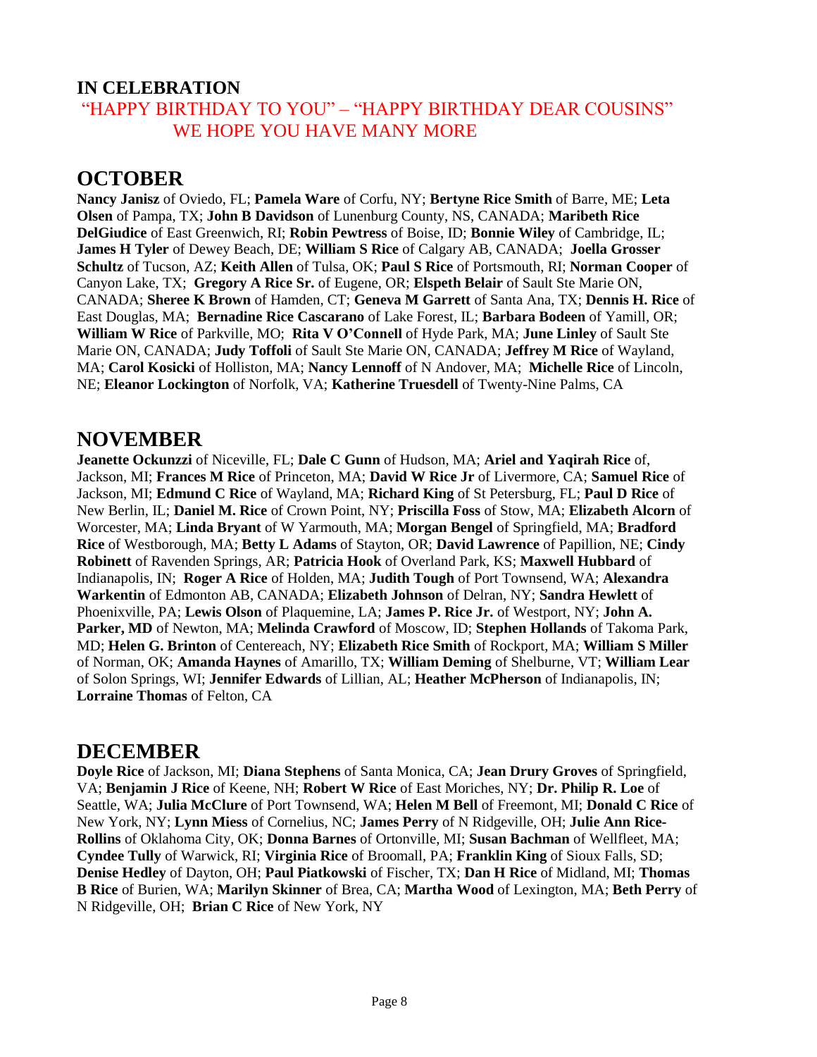## **IN CELEBRATION**  "HAPPY BIRTHDAY TO YOU" – "HAPPY BIRTHDAY DEAR COUSINS" WE HOPE YOU HAVE MANY MORE

## **OCTOBER**

**Nancy Janisz** of Oviedo, FL; **Pamela Ware** of Corfu, NY; **Bertyne Rice Smith** of Barre, ME; **Leta Olsen** of Pampa, TX; **John B Davidson** of Lunenburg County, NS, CANADA; **Maribeth Rice DelGiudice** of East Greenwich, RI; **Robin Pewtress** of Boise, ID; **Bonnie Wiley** of Cambridge, IL; **James H Tyler** of Dewey Beach, DE; **William S Rice** of Calgary AB, CANADA; **Joella Grosser Schultz** of Tucson, AZ; **Keith Allen** of Tulsa, OK; **Paul S Rice** of Portsmouth, RI; **Norman Cooper** of Canyon Lake, TX; **Gregory A Rice Sr.** of Eugene, OR; **Elspeth Belair** of Sault Ste Marie ON, CANADA; **Sheree K Brown** of Hamden, CT; **Geneva M Garrett** of Santa Ana, TX; **Dennis H. Rice** of East Douglas, MA; **Bernadine Rice Cascarano** of Lake Forest, IL; **Barbara Bodeen** of Yamill, OR; **William W Rice** of Parkville, MO; **Rita V O'Connell** of Hyde Park, MA; **June Linley** of Sault Ste Marie ON, CANADA; **Judy Toffoli** of Sault Ste Marie ON, CANADA; **Jeffrey M Rice** of Wayland, MA; **Carol Kosicki** of Holliston, MA; **Nancy Lennoff** of N Andover, MA; **Michelle Rice** of Lincoln, NE; **Eleanor Lockington** of Norfolk, VA; **Katherine Truesdell** of Twenty-Nine Palms, CA

## **NOVEMBER**

**Jeanette Ockunzzi** of Niceville, FL; **Dale C Gunn** of Hudson, MA; **Ariel and Yaqirah Rice** of, Jackson, MI; **Frances M Rice** of Princeton, MA; **David W Rice Jr** of Livermore, CA; **Samuel Rice** of Jackson, MI; **Edmund C Rice** of Wayland, MA; **Richard King** of St Petersburg, FL; **Paul D Rice** of New Berlin, IL; **Daniel M. Rice** of Crown Point, NY; **Priscilla Foss** of Stow, MA; **Elizabeth Alcorn** of Worcester, MA; **Linda Bryant** of W Yarmouth, MA; **Morgan Bengel** of Springfield, MA; **Bradford Rice** of Westborough, MA; **Betty L Adams** of Stayton, OR; **David Lawrence** of Papillion, NE; **Cindy Robinett** of Ravenden Springs, AR; **Patricia Hook** of Overland Park, KS; **Maxwell Hubbard** of Indianapolis, IN; **Roger A Rice** of Holden, MA; **Judith Tough** of Port Townsend, WA; **Alexandra Warkentin** of Edmonton AB, CANADA; **Elizabeth Johnson** of Delran, NY; **Sandra Hewlett** of Phoenixville, PA; **Lewis Olson** of Plaquemine, LA; **James P. Rice Jr.** of Westport, NY; **John A. Parker, MD** of Newton, MA; **Melinda Crawford** of Moscow, ID; **Stephen Hollands** of Takoma Park, MD; **Helen G. Brinton** of Centereach, NY; **Elizabeth Rice Smith** of Rockport, MA; **William S Miller** of Norman, OK; **Amanda Haynes** of Amarillo, TX; **William Deming** of Shelburne, VT; **William Lear** of Solon Springs, WI; **Jennifer Edwards** of Lillian, AL; **Heather McPherson** of Indianapolis, IN; **Lorraine Thomas** of Felton, CA

### **DECEMBER**

**Doyle Rice** of Jackson, MI; **Diana Stephens** of Santa Monica, CA; **Jean Drury Groves** of Springfield, VA; **Benjamin J Rice** of Keene, NH; **Robert W Rice** of East Moriches, NY; **Dr. Philip R. Loe** of Seattle, WA; **Julia McClure** of Port Townsend, WA; **Helen M Bell** of Freemont, MI; **Donald C Rice** of New York, NY; **Lynn Miess** of Cornelius, NC; **James Perry** of N Ridgeville, OH; **Julie Ann Rice-Rollins** of Oklahoma City, OK; **Donna Barnes** of Ortonville, MI; **Susan Bachman** of Wellfleet, MA; **Cyndee Tully** of Warwick, RI; **Virginia Rice** of Broomall, PA; **Franklin King** of Sioux Falls, SD; **Denise Hedley** of Dayton, OH; **Paul Piatkowski** of Fischer, TX; **Dan H Rice** of Midland, MI; **Thomas B Rice** of Burien, WA; **Marilyn Skinner** of Brea, CA; **Martha Wood** of Lexington, MA; **Beth Perry** of N Ridgeville, OH; **Brian C Rice** of New York, NY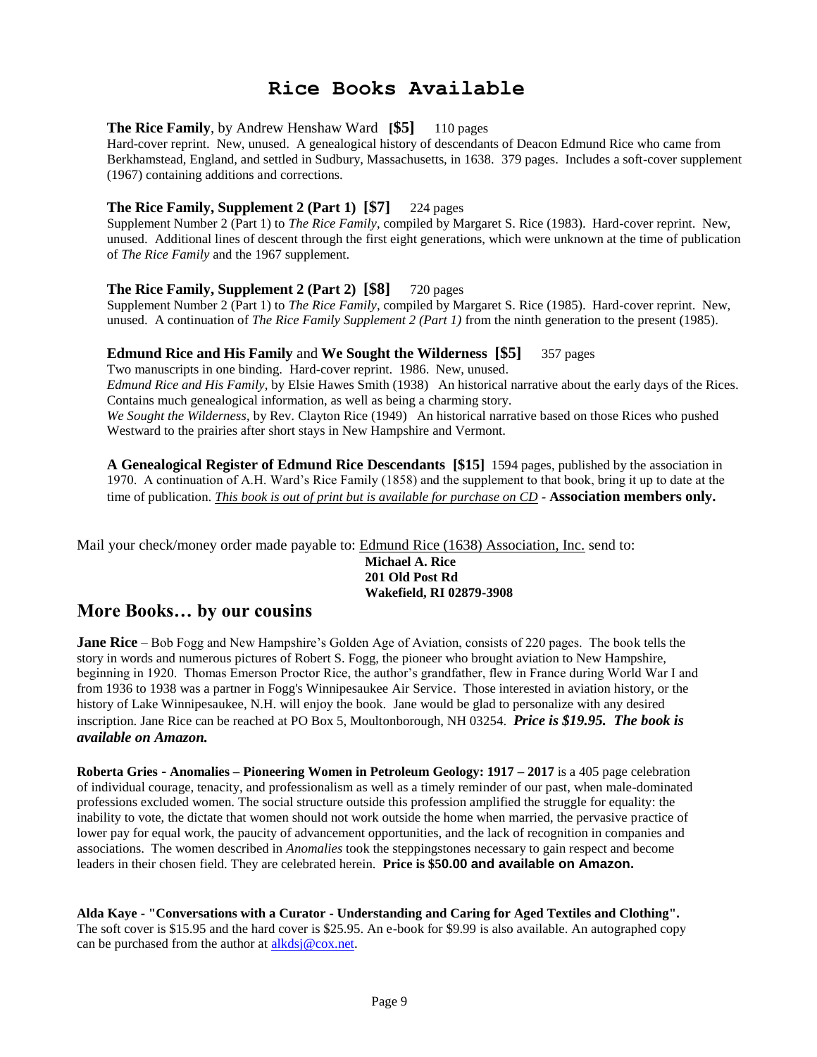## **Rice Books Available**

#### **The Rice Family**, by Andrew Henshaw Ward **[\$5]** 110 pages

Hard-cover reprint. New, unused. A genealogical history of descendants of Deacon Edmund Rice who came from Berkhamstead, England, and settled in Sudbury, Massachusetts, in 1638. 379 pages. Includes a soft-cover supplement (1967) containing additions and corrections.

#### **The Rice Family, Supplement 2 (Part 1) [\$7]** 224 pages

Supplement Number 2 (Part 1) to *The Rice Family*, compiled by Margaret S. Rice (1983). Hard-cover reprint. New, unused. Additional lines of descent through the first eight generations, which were unknown at the time of publication of *The Rice Family* and the 1967 supplement.

#### **The Rice Family, Supplement 2 (Part 2) [\$8]** 720 pages

Supplement Number 2 (Part 1) to *The Rice Family*, compiled by Margaret S. Rice (1985). Hard-cover reprint. New, unused. A continuation of *The Rice Family Supplement 2 (Part 1)* from the ninth generation to the present (1985).

#### **Edmund Rice and His Family** and **We Sought the Wilderness [\$5]** 357 pages

Two manuscripts in one binding. Hard-cover reprint. 1986. New, unused. *Edmund Rice and His Family*, by Elsie Hawes Smith (1938) An historical narrative about the early days of the Rices. Contains much genealogical information, as well as being a charming story. *We Sought the Wilderness*, by Rev. Clayton Rice (1949) An historical narrative based on those Rices who pushed Westward to the prairies after short stays in New Hampshire and Vermont.

**A Genealogical Register of Edmund Rice Descendants [\$15]** 1594 pages, published by the association in 1970. A continuation of A.H. Ward's Rice Family (1858) and the supplement to that book, bring it up to date at the time of publication. *This book is out of print but is available for purchase on CD -* **Association members only.**

Mail your check/money order made payable to: Edmund Rice (1638) Association, Inc. send to:

**Michael A. Rice 201 Old Post Rd Wakefield, RI 02879-3908**

### **More Books… by our cousins**

**Jane Rice** – Bob Fogg and New Hampshire's Golden Age of Aviation, consists of 220 pages. The book tells the story in words and numerous pictures of Robert S. Fogg, the pioneer who brought aviation to New Hampshire, beginning in 1920. Thomas Emerson Proctor Rice, the author's grandfather, flew in France during World War I and from 1936 to 1938 was a partner in Fogg's Winnipesaukee Air Service. Those interested in aviation history, or the history of Lake Winnipesaukee, N.H. will enjoy the book. Jane would be glad to personalize with any desired inscription. Jane Rice can be reached at PO Box 5, Moultonborough, NH 03254. *Price is \$19.95. The book is available on Amazon.*

**Roberta Gries - Anomalies – Pioneering Women in Petroleum Geology: 1917 – 2017** is a 405 page celebration of individual courage, tenacity, and professionalism as well as a timely reminder of our past, when male-dominated professions excluded women. The social structure outside this profession amplified the struggle for equality: the inability to vote, the dictate that women should not work outside the home when married, the pervasive practice of lower pay for equal work, the paucity of advancement opportunities, and the lack of recognition in companies and associations. The women described in *Anomalies* took the steppingstones necessary to gain respect and become leaders in their chosen field. They are celebrated herein. **Price is \$50.00 and available on Amazon.**

**Alda Kaye - "Conversations with a Curator - Understanding and Caring for Aged Textiles and Clothing".** The soft cover is \$15.95 and the hard cover is \$25.95. An e-book for \$9.99 is also available. An autographed copy can be purchased from the author at [alkdsj@cox.net.](mailto:alkdsj@cox.net)